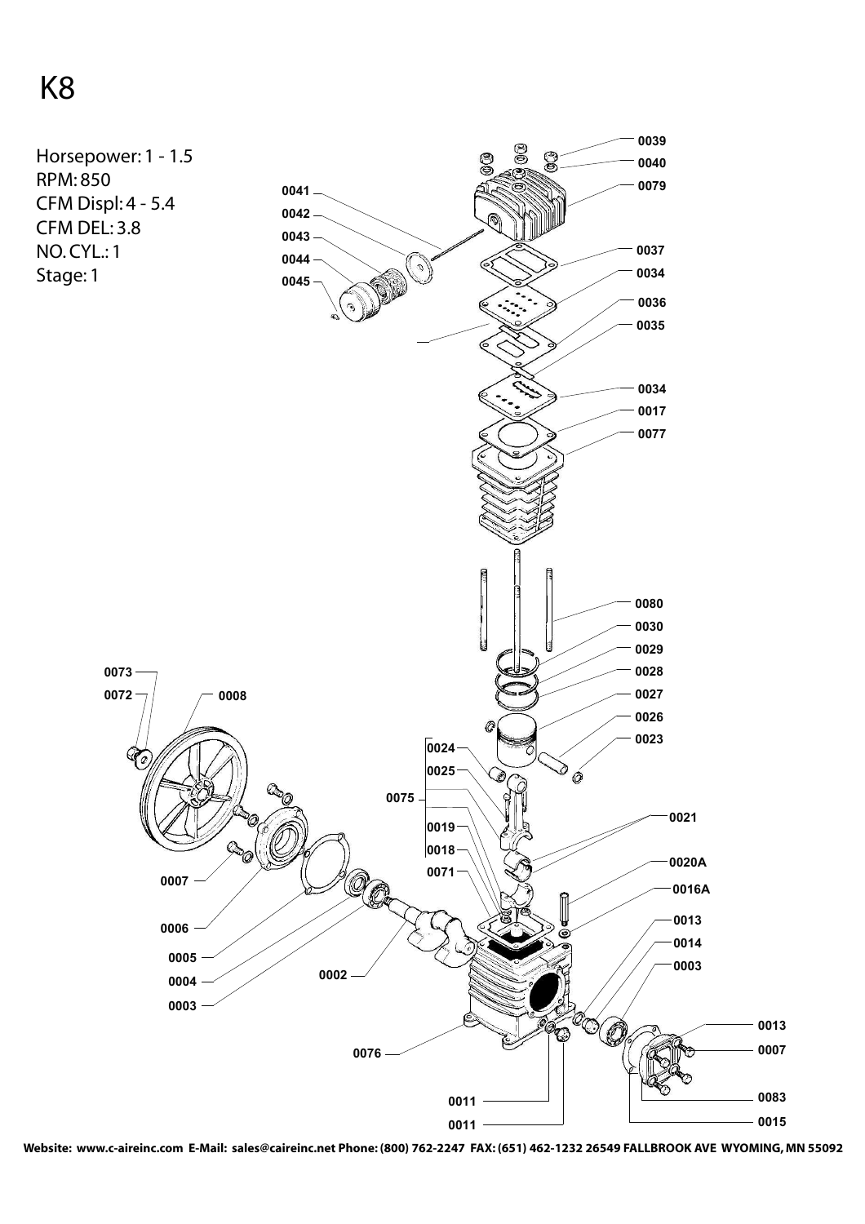## K8



**Website: www.c-aireinc.com E-Mail: sales@caireinc.net Phone: (800) 762-2247 FAX: (651) 462-1232 26549 FALLBROOK AVE WYOMING, MN 55092**